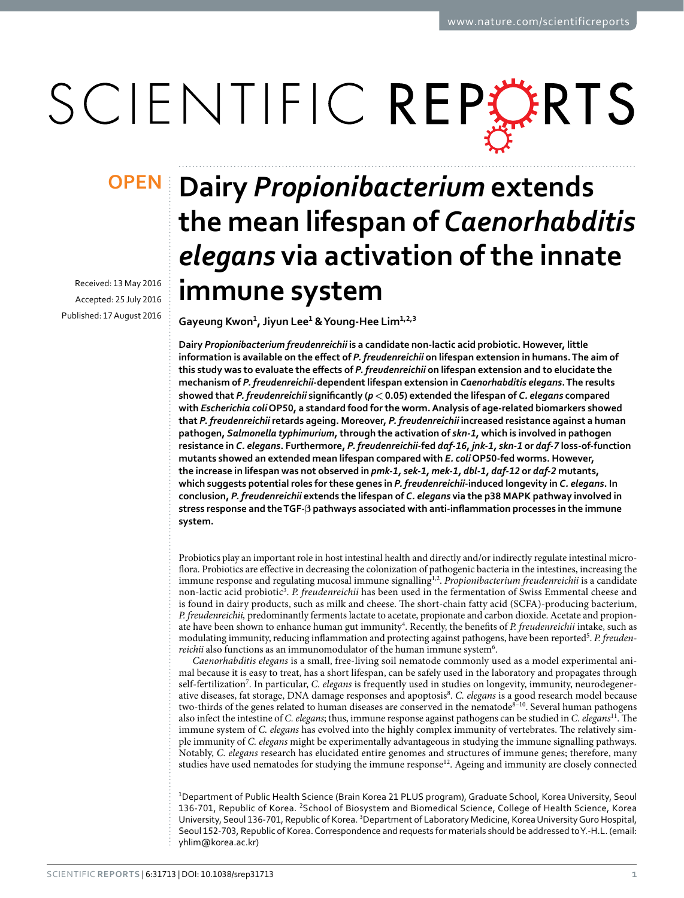# SCIENTIFIC REPERTS

Received: 13 May 2016 accepted: 25 July 2016 Published: 17 August 2016

## **Dairy** *Propionibacterium* **extends OPENthe mean lifespan of** *Caenorhabditis elegans* **via activation of the innate immune system**

**Gayeung Kwon<sup>1</sup>, Jiyun Lee<sup>1</sup> & Young-Hee Lim<sup>1</sup>,2,<sup>3</sup>**

**Dairy** *Propionibacterium freudenreichii* **is a candidate non-lactic acid probiotic. However, little information is available on the effect of** *P. freudenreichii* **on lifespan extension in humans. The aim of this study was to evaluate the effects of** *P. freudenreichii* **on lifespan extension and to elucidate the mechanism of** *P. freudenreichii***-dependent lifespan extension in** *Caenorhabditis elegans***. The results showed that** *P. freudenreichii* **significantly (***p***<0.05) extended the lifespan of** *C. elegans* **compared with** *Escherichia coli* **OP50, a standard food for the worm. Analysis of age-related biomarkers showed that** *P. freudenreichii* **retards ageing. Moreover,** *P. freudenreichii* **increased resistance against a human pathogen,** *Salmonella typhimurium***, through the activation of** *skn-1***, which is involved in pathogen resistance in** *C. elegans***. Furthermore,** *P. freudenreichii***-fed** *daf***-***16***,** *jnk-1, skn-1* **or** *daf-7* **loss-of-function mutants showed an extended mean lifespan compared with** *E. coli* **OP50-fed worms. However, the increase in lifespan was not observed in** *pmk-1, sek-1, mek-1, dbl-1, daf-12* **or** *daf-2* **mutants, which suggests potential roles for these genes in** *P. freudenreichii***-induced longevity in** *C. elegans***. In conclusion,** *P. freudenreichii* **extends the lifespan of** *C. elegans* **via the p38 MAPK pathway involved in stress response and the TGF-β pathways associated with anti-inflammation processes in the immune system.**

Probiotics play an important role in host intestinal health and directly and/or indirectly regulate intestinal microflora. Probiotics are effective in decreasing the colonization of pathogenic bacteria in the intestines, increasing the immune response and regulating mucosal immune signalling<sup>[1,](#page-8-0)2</sup>. *Propionibacterium freudenreichii* is a candidate non-lactic acid probiotic<sup>[3](#page-8-2)</sup>. P. freudenreichii has been used in the fermentation of Swiss Emmental cheese and is found in dairy products, such as milk and cheese. The short-chain fatty acid (SCFA)-producing bacterium, *P. freudenreichii,* predominantly ferments lactate to acetate, propionate and carbon dioxide. Acetate and propionate have been shown to enhance human gut immunity<sup>4</sup>. Recently, the benefits of *P. freudenreichii* intake, such as modulating immunity, reducing inflammation and protecting against pathogens, have been reported<sup>[5](#page-8-4)</sup>. P. freudenreichii also functions as an immunomodulator of the human immune system<sup>6</sup>.

*Caenorhabditis elegans* is a small, free-living soil nematode commonly used as a model experimental animal because it is easy to treat, has a short lifespan, can be safely used in the laboratory and propagates through self-fertilization[7](#page-9-1) . In particular, *C. elegans* is frequently used in studies on longevity, immunity, neurodegenerative diseases, fat storage, DNA damage responses and apoptosis<sup>8</sup>. C. elegans is a good research model because two-thirds of the genes related to human diseases are conserved in the nematode<sup>8-10</sup>. Several human pathogens also infect the intestine of *C. elegans*; thus, immune response against pathogens can be studied in *C. elegans*[11](#page-9-3). The immune system of *C. elegans* has evolved into the highly complex immunity of vertebrates. The relatively simple immunity of *C. elegans* might be experimentally advantageous in studying the immune signalling pathways. Notably, *C. elegans* research has elucidated entire genomes and structures of immune genes; therefore, many studies have used nematodes for studying the immune response<sup>12</sup>. Ageing and immunity are closely connected

1 Department of Public Health Science (Brain Korea 21 PLUS program), Graduate School, Korea University, Seoul 136-701, Republic of Korea. 2School of Biosystem and Biomedical Science, College of Health Science, Korea University, Seoul 136-701, Republic of Korea. <sup>3</sup>Department of Laboratory Medicine, Korea University Guro Hospital, Seoul 152-703, Republic of Korea. Correspondence and requests for materials should be addressed to Y.-H.L. (email: [yhlim@korea.ac.kr\)](mailto:yhlim@korea.ac.kr)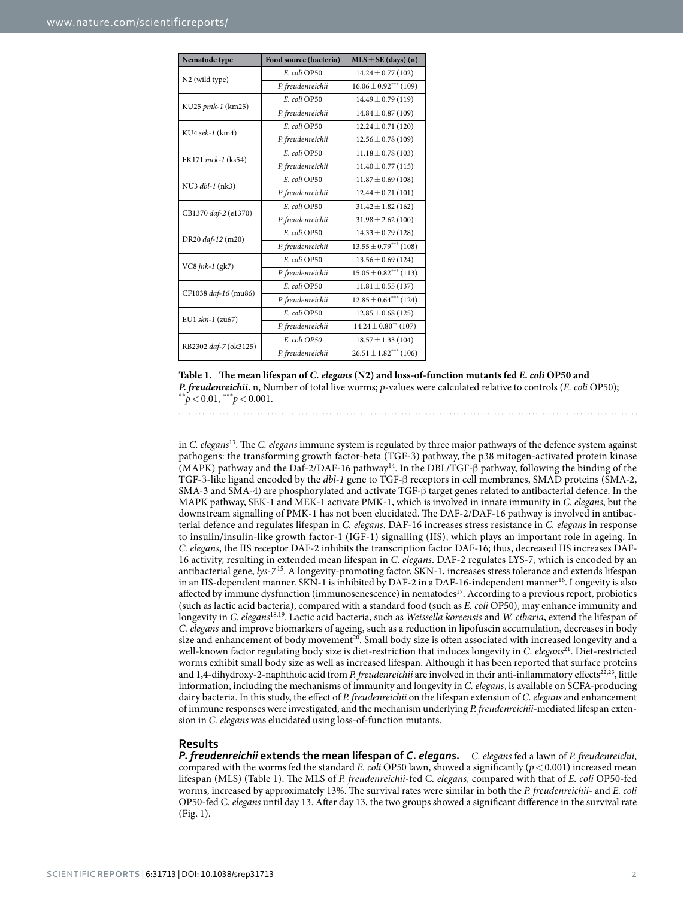<span id="page-1-0"></span>

| Nematode type         | Food source (bacteria) | $MLS \pm SE$ (days) (n)           |
|-----------------------|------------------------|-----------------------------------|
| N2 (wild type)        | E. coli OP50           | $14.24 \pm 0.77(102)$             |
|                       | P. freudenreichii      | $16.06 \pm 0.92***$ (109)         |
| KU25 pmk-1 (km25)     | E. coli OP50           | $14.49 \pm 0.79$ (119)            |
|                       | P. freudenreichii      | $14.84 \pm 0.87$ (109)            |
| KU4 sek-1 (km4)       | E. coli OP50           | $12.24 \pm 0.71(120)$             |
|                       | P. freudenreichii      | $12.56 \pm 0.78$ (109)            |
| FK171 mek-1 (ks54)    | E. coli OP50           | $11.18 \pm 0.78$ (103)            |
|                       | P. freudenreichii      | $11.40 \pm 0.77$ (115)            |
| NU3 dbl-1 (nk3)       | E. coli OP50           | $11.87 \pm 0.69$ (108)            |
|                       | P. freudenreichii      | $12.44 \pm 0.71(101)$             |
| CB1370 daf-2 (e1370)  | E. coli OP50           | $31.42 \pm 1.82$ (162)            |
|                       | P. freudenreichii      | $31.98 \pm 2.62$ (100)            |
| DR20 daf-12 (m20)     | E. coli OP50           | $14.33 \pm 0.79$ (128)            |
|                       | P. freudenreichii      | $13.55 \pm 0.79***$ (108)         |
| VC8 $jnk-1$ (gk7)     | E. coli OP50           | $13.56 \pm 0.69$ (124)            |
|                       | P. freudenreichii      | $15.05 \pm 0.82***$ (113)         |
| CF1038 daf-16 (mu86)  | E. coli OP50           | $11.81 \pm 0.55$ (137)            |
|                       | P. freudenreichii      | $12.85 \pm 0.64***$ (124)         |
| EU1 skn-1 (zu67)      | E. coli OP50           | $12.85 \pm 0.68$ (125)            |
|                       | P. freudenreichii      | $14.24 \pm 0.80^{\ast\ast}$ (107) |
| RB2302 daf-7 (ok3125) | E. coli OP50           | $18.57 \pm 1.33(104)$             |
|                       | P. freudenreichii      | $26.51 \pm 1.82***$ (106)         |

**Table 1. The mean lifespan of** *C. elegans* **(N2) and loss-of-function mutants fed** *E. coli* **OP50 and**  *P. freudenreichii***.** n, Number of total live worms; *p*-values were calculated relative to controls (*E. coli* OP50);  $e^{**}p < 0.01$ ,  $e^{***}p < 0.001$ .

in *C. elegans*[13](#page-9-5). The *C. elegans* immune system is regulated by three major pathways of the defence system against pathogens: the transforming growth factor-beta (TGF-β) pathway, the p38 mitogen-activated protein kinase (MAPK) pathway and the Daf-2/DAF-16 pathwa[y14.](#page-9-6) In the DBL/TGF-β pathway, following the binding of the TGF-β-like ligand encoded by the *dbl-1* gene to TGF-β receptors in cell membranes, SMAD proteins (SMA-2, SMA-3 and SMA-4) are phosphorylated and activate TGF-β target genes related to antibacterial defence. In the MAPK pathway, SEK-1 and MEK-1 activate PMK-1, which is involved in innate immunity in *C. elegans*, but the downstream signalling of PMK-1 has not been elucidated. The DAF-2/DAF-16 pathway is involved in antibacterial defence and regulates lifespan in *C. elegans*. DAF-16 increases stress resistance in *C. elegans* in response to insulin/insulin-like growth factor-1 (IGF-1) signalling (IIS), which plays an important role in ageing. In *C. elegans*, the IIS receptor DAF-2 inhibits the transcription factor DAF-16; thus, decreased IIS increases DAF-16 activity, resulting in extended mean lifespan in *C. elegans*. DAF-2 regulates LYS-7, which is encoded by an antibacterial gene, *lys-7* [15.](#page-9-7) A longevity-promoting factor, SKN-1, increases stress tolerance and extends lifespan in an IIS-dependent manner. SKN-1 is inhibited by DAF-2 in a DAF-16-independent manner<sup>16</sup>. Longevity is also affected by immune dysfunction (immunosenescence) in nematodes<sup>[17](#page-9-9)</sup>. According to a previous report, probiotics (such as lactic acid bacteria), compared with a standard food (such as *E. coli* OP50), may enhance immunity and longevity in *C. elegans*[18](#page-9-10)[,19.](#page-9-11) Lactic acid bacteria, such as *Weissella koreensis* and *W. cibaria*, extend the lifespan of *C. elegans* and improve biomarkers of ageing, such as a reduction in lipofuscin accumulation, decreases in body size and enhancement of body movement<sup>20</sup>. Small body size is often associated with increased longevity and a well-known factor regulating body size is diet-restriction that induces longevity in *C. elegans*[21.](#page-9-13) Diet-restricted worms exhibit small body size as well as increased lifespan. Although it has been reported that surface proteins and 1,4-dihydroxy-2-naphthoic acid from *P. freudenreichii* are involved in their anti-inflammatory effects<sup>[22](#page-9-14),[23](#page-9-15)</sup>, little information, including the mechanisms of immunity and longevity in *C. elegans*, is available on SCFA-producing dairy bacteria. In this study, the effect of *P. freudenreichii* on the lifespan extension of *C. elegans* and enhancement of immune responses were investigated, and the mechanism underlying *P. freudenreichii*-mediated lifespan extension in *C. elegans* was elucidated using loss-of-function mutants.

#### **Results**

*P. freudenreichii* **extends the mean lifespan of** *C***.** *elegans***.** *C. elegans* fed a lawn of *P. freudenreichii*, compared with the worms fed the standard *E. coli* OP50 lawn, showed a significantly ( $p < 0.001$ ) increased mean lifespan (MLS) ([Table 1](#page-1-0)). The MLS of *P. freudenreichii*-fed C*. elegans,* compared with that of *E. coli* OP50-fed worms, increased by approximately 13%. The survival rates were similar in both the *P. freudenreichii*- and *E. coli* OP50-fed C*. elegans* until day 13. After day 13, the two groups showed a significant difference in the survival rate ([Fig. 1](#page-2-0)).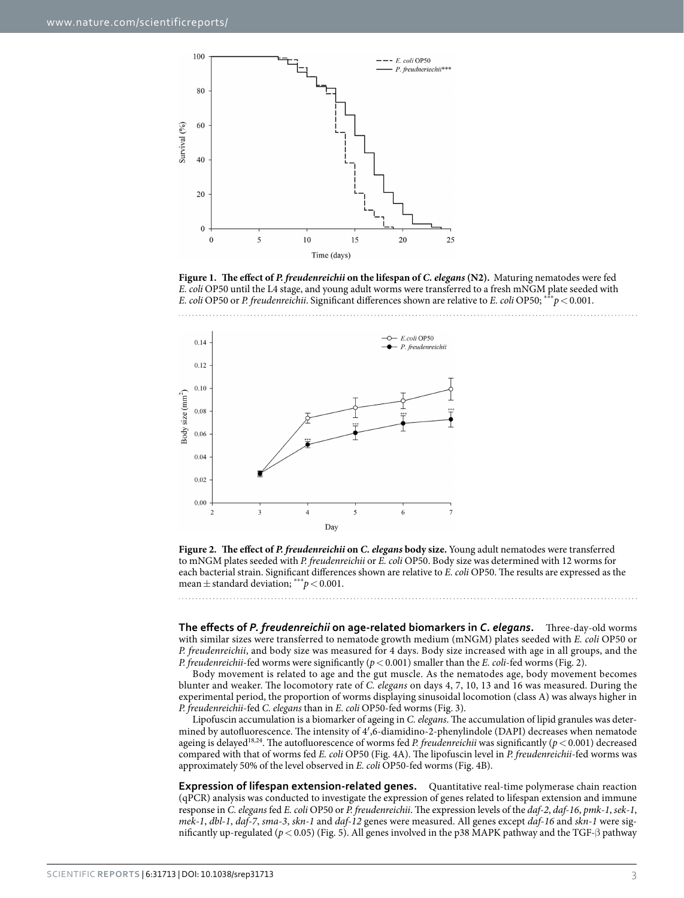

<span id="page-2-0"></span>**Figure 1. The effect of** *P. freudenreichii* **on the lifespan of** *C. elegans* **(N2).** Maturing nematodes were fed *E. coli* OP50 until the L4 stage, and young adult worms were transferred to a fresh mNGM plate seeded with *E. coli* OP50 or *P. freudenreichii*. Significant differences shown are relative to *E. coli* OP50; \*\*\**p*<0.001.



<span id="page-2-1"></span>

**The effects of** *P. freudenreichii* **on age-related biomarkers in** *C. elegans***.** Three-day-old worms with similar sizes were transferred to nematode growth medium (mNGM) plates seeded with *E. coli* OP50 or *P. freudenreichii*, and body size was measured for 4 days. Body size increased with age in all groups, and the *P. freudenreichii*-fed worms were significantly ( $p < 0.001$ ) smaller than the *E. coli*-fed worms [\(Fig. 2](#page-2-1)).

Body movement is related to age and the gut muscle. As the nematodes age, body movement becomes blunter and weaker. The locomotory rate of *C. elegans* on days 4, 7, 10, 13 and 16 was measured. During the experimental period, the proportion of worms displaying sinusoidal locomotion (class A) was always higher in *P. freudenreichii*-fed *C. elegans* than in *E. coli* OP50-fed worms [\(Fig. 3\)](#page-3-0).

Lipofuscin accumulation is a biomarker of ageing in *C. elegans*. The accumulation of lipid granules was determined by autofluorescence. The intensity of 4′,6-diamidino-2-phenylindole (DAPI) decreases when nematode ageing is delayed[18,](#page-9-10)[24](#page-9-16). The autofluorescence of worms fed *P. freudenreichii* was significantly (*p*<0.001) decreased compared with that of worms fed *E. coli* OP50 [\(Fig. 4A\)](#page-4-0). The lipofuscin level in *P. freudenreichii*-fed worms was approximately 50% of the level observed in *E. coli* OP50-fed worms [\(Fig. 4B](#page-4-0)).

**Expression of lifespan extension-related genes.** Quantitative real-time polymerase chain reaction (qPCR) analysis was conducted to investigate the expression of genes related to lifespan extension and immune response in *C. elegans* fed *E. coli* OP50 or *P. freudenreichii*. The expression levels of the *daf-2*, *daf-16*, *pmk-1*, *sek-1*, *mek-1*, *dbl-1*, *daf-7*, *sma-3*, *skn-1* and *daf-12* genes were measured. All genes except *daf-16* and *skn-1* were significantly up-regulated (*p*<0.05) [\(Fig. 5\)](#page-5-0). All genes involved in the p38 MAPK pathway and the TGF-β pathway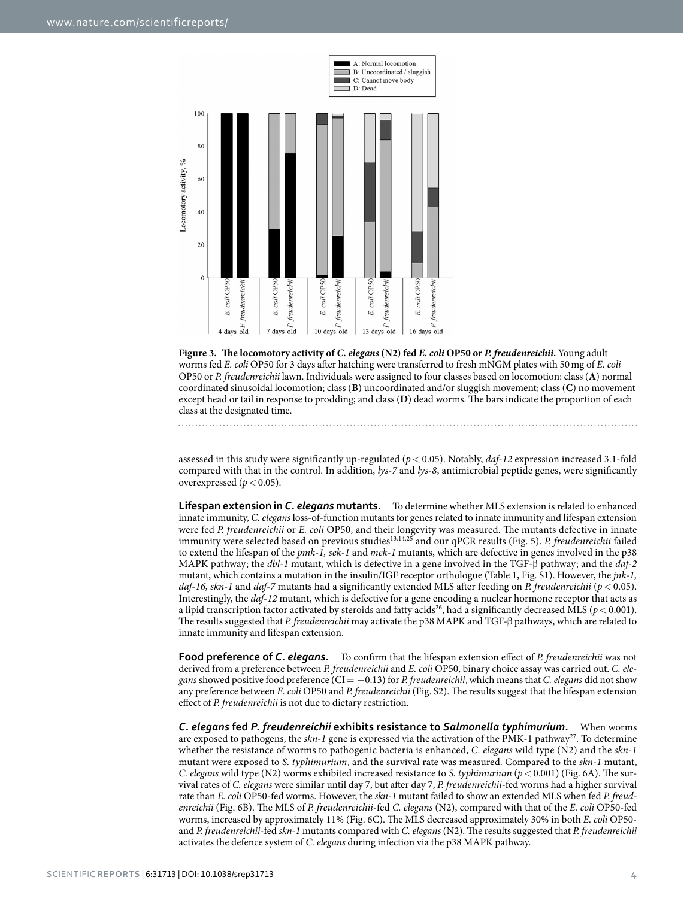

<span id="page-3-0"></span>**Figure 3. The locomotory activity of** *C. elegans* **(N2) fed** *E. coli* **OP50 or** *P. freudenreichii***.** Young adult worms fed *E. coli* OP50 for 3 days after hatching were transferred to fresh mNGM plates with 50mg of *E. coli* OP50 or *P. freudenreichii* lawn. Individuals were assigned to four classes based on locomotion: class (**A**) normal coordinated sinusoidal locomotion; class (**B**) uncoordinated and/or sluggish movement; class (**C**) no movement except head or tail in response to prodding; and class (**D**) dead worms. The bars indicate the proportion of each class at the designated time.

assessed in this study were significantly up-regulated (*p*< 0.05). Notably, *daf-12* expression increased 3.1-fold compared with that in the control. In addition, *lys-7* and *lys-8*, antimicrobial peptide genes, were significantly overexpressed ( $p < 0.05$ ).

**Lifespan extension in** *C. elegans* **mutants.** To determine whether MLS extension is related to enhanced innate immunity, *C. elegans* loss-of-function mutants for genes related to innate immunity and lifespan extension were fed *P. freudenreichii* or *E. coli* OP50, and their longevity was measured. The mutants defective in innate immunity were selected based on previous studies[13](#page-9-5),[14,](#page-9-6)[25](#page-9-17) and our qPCR results [\(Fig. 5\)](#page-5-0). *P. freudenreichii* failed to extend the lifespan of the *pmk-1, sek-1* and *mek-1* mutants, which are defective in genes involved in the p38 MAPK pathway; the *dbl-1* mutant, which is defective in a gene involved in the TGF-β pathway; and the *daf-2* mutant, which contains a mutation in the insulin/IGF receptor orthologue ([Table 1](#page-1-0), Fig. S1). However, the *jnk-1, daf-16, skn-1* and *daf-7* mutants had a significantly extended MLS after feeding on *P. freudenreichii* (*p*< 0.05). Interestingly, the *daf-12* mutant, which is defective for a gene encoding a nuclear hormone receptor that acts as a lipid transcription factor activated by steroids and fatty acids<sup>26</sup>, had a significantly decreased MLS ( $p <$  0.001). The results suggested that *P. freudenreichii* may activate the p38 MAPK and TGF-β pathways, which are related to innate immunity and lifespan extension.

**Food preference of** *C. elegans***.** To confirm that the lifespan extension effect of *P. freudenreichii* was not derived from a preference between *P. freudenreichii* and *E. coli* OP50, binary choice assay was carried out. *C. elegans* showed positive food preference (CI= +0.13) for *P. freudenreichii*, which means that *C. elegans* did not show any preference between *E. coli* OP50 and *P. freudenreichii* (Fig. S2). The results suggest that the lifespan extension effect of *P. freudenreichii* is not due to dietary restriction.

*C. elegans* **fed** *P. freudenreichii* **exhibits resistance to** *Salmonella typhimurium***.** When worms are exposed to pathogens, the *skn-1* gene is expressed via the activation of the PMK-1 pathway<sup>27</sup>. To determine whether the resistance of worms to pathogenic bacteria is enhanced, *C. elegans* wild type (N2) and the *skn-1* mutant were exposed to *S. typhimurium*, and the survival rate was measured. Compared to the *skn-1* mutant, *C. elegans* wild type (N2) worms exhibited increased resistance to *S. typhimurium* (*p*<0.001) ([Fig. 6A\)](#page-5-1). The survival rates of *C. elegans* were similar until day 7, but after day 7, *P. freudenreichii*-fed worms had a higher survival rate than *E. coli* OP50-fed worms. However, the *skn-1* mutant failed to show an extended MLS when fed *P. freudenreichii* [\(Fig. 6B\)](#page-5-1). The MLS of *P. freudenreichii*-fed *C. elegans* (N2), compared with that of the *E. coli* OP50-fed worms, increased by approximately 11% ([Fig. 6C](#page-5-1)). The MLS decreased approximately 30% in both *E. coli* OP50 and *P. freudenreichii*-fed *skn-1* mutants compared with *C. elegans* (N2). The results suggested that *P. freudenreichii* activates the defence system of *C. elegans* during infection via the p38 MAPK pathway.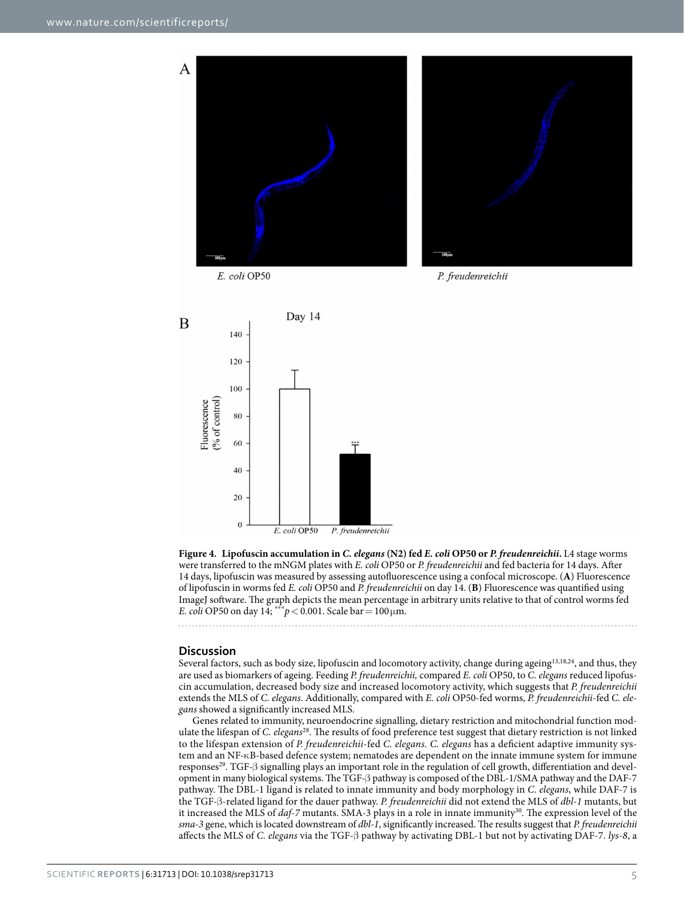

E. coli OP50

P. freudenreichii



<span id="page-4-0"></span>**Figure 4. Lipofuscin accumulation in** *C. elegans* **(N2) fed** *E. coli* **OP50 or** *P. freudenreichii***.** L4 stage worms were transferred to the mNGM plates with *E. coli* OP50 or *P. freudenreichii* and fed bacteria for 14 days. After 14 days, lipofuscin was measured by assessing autofluorescence using a confocal microscope. (**A**) Fluorescence of lipofuscin in worms fed *E. coli* OP50 and *P. freudenreichii* on day 14. (**B**) Fluorescence was quantified using ImageJ software. The graph depicts the mean percentage in arbitrary units relative to that of control worms fed *E. coli* OP50 on day 14; \*\*\* $p < 0.001$ . Scale bar = 100 µm.

#### **Discussion**

Several factors, such as body size, lipofuscin and locomotory activity, change during ageing<sup>[13](#page-9-5)[,18](#page-9-10)[,24](#page-9-16)</sup>, and thus, they are used as biomarkers of ageing. Feeding *P. freudenreichii,* compared *E. coli* OP50, to *C. elegans* reduced lipofuscin accumulation, decreased body size and increased locomotory activity, which suggests that *P. freudenreichii* extends the MLS of *C. elegans*. Additionally, compared with *E. coli* OP50-fed worms, *P. freudenreichii*-fed *C. elegans* showed a significantly increased MLS.

Genes related to immunity, neuroendocrine signalling, dietary restriction and mitochondrial function modulate the lifespan of *C. elegans*[28](#page-9-20). The results of food preference test suggest that dietary restriction is not linked to the lifespan extension of *P. freudenreichii*-fed *C. elegans. C. elegans* has a deficient adaptive immunity system and an NF-κB-based defence system; nematodes are dependent on the innate immune system for immune responses<sup>[29](#page-9-21)</sup>. TGF-β signalling plays an important role in the regulation of cell growth, differentiation and development in many biological systems. The TGF-β pathway is composed of the DBL-1/SMA pathway and the DAF-7 pathway. The DBL-1 ligand is related to innate immunity and body morphology in *C. elegans*, while DAF-7 is the TGF-β-related ligand for the dauer pathway. *P. freudenreichii* did not extend the MLS of *dbl-1* mutants, but it increased the MLS of *daf-7* mutants. SMA-3 plays in a role in innate immunity<sup>[30](#page-9-22)</sup>. The expression level of the *sma-3* gene, which is located downstream of *dbl-1*, significantly increased. The results suggest that *P. freudenreichii* affects the MLS of *C. elegans* via the TGF-β pathway by activating DBL-1 but not by activating DAF-7. *lys-8*, a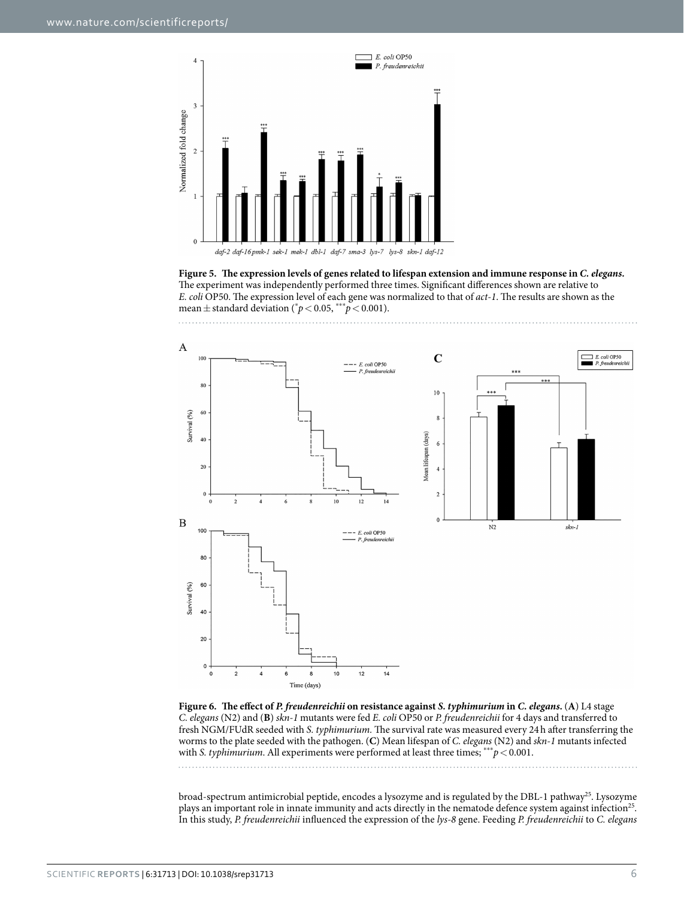

<span id="page-5-0"></span>**Figure 5. The expression levels of genes related to lifespan extension and immune response in** *C. elegans.* The experiment was independently performed three times. Significant differences shown are relative to *E. coli* OP50. The expression level of each gene was normalized to that of *act-1*. The results are shown as the mean  $\pm$  standard deviation ( $^{\ast}p$  < 0.05,  $^{\ast\ast\ast}p$  < 0.001).



<span id="page-5-1"></span>**Figure 6. The effect of** *P. freudenreichii* **on resistance against** *S. typhimurium* **in** *C. elegans***.** (**A**) L4 stage *C. elegans* (N2) and (**B**) *skn-1* mutants were fed *E. coli* OP50 or *P. freudenreichii* for 4 days and transferred to fresh NGM/FUdR seeded with *S. typhimurium.* The survival rate was measured every 24h after transferring the worms to the plate seeded with the pathogen. (**C**) Mean lifespan of *C. elegans* (N2) and *skn-1* mutants infected with *S. typhimurium*. All experiments were performed at least three times; \*\*\* $p$  < 0.001.

broad-spectrum antimicrobial peptide, encodes a lysozyme and is regulated by the DBL-1 pathway<sup>25</sup>. Lysozyme plays an important role in innate immunity and acts directly in the nematode defence system against infection<sup>25</sup>. In this study, *P. freudenreichii* influenced the expression of the *lys-8* gene. Feeding *P. freudenreichii* to *C. elegans*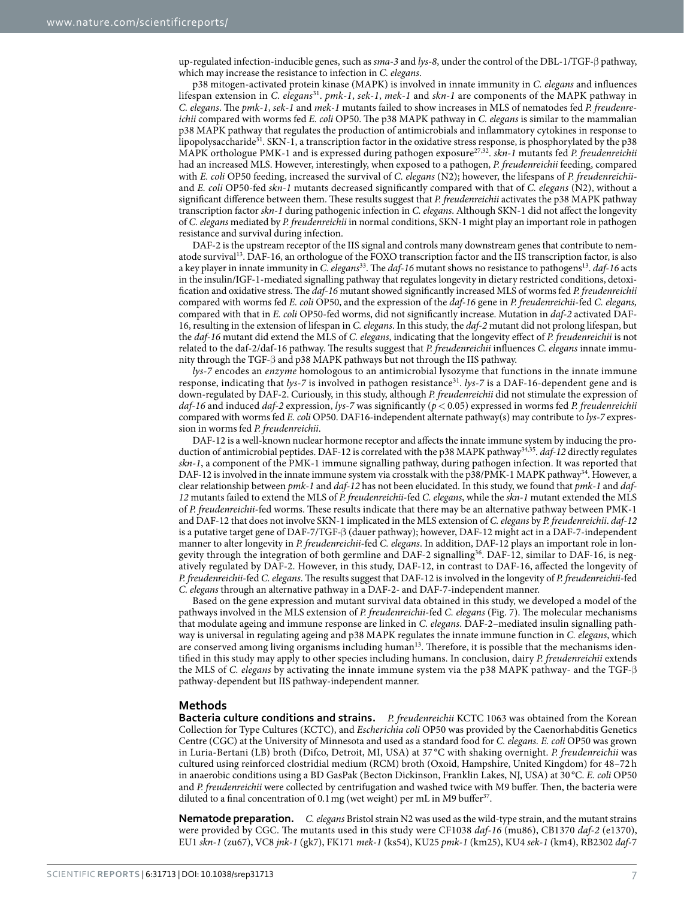up-regulated infection-inducible genes, such as *sma-3* and *lys-8*, under the control of the DBL-1/TGF-β pathway, which may increase the resistance to infection in *C. elegans*.

p38 mitogen-activated protein kinase (MAPK) is involved in innate immunity in *C. elegans* and influences lifespan extension in *C. elegans*[31](#page-9-23). *pmk-1*, *sek-1*, *mek-1* and *skn-1* are components of the MAPK pathway in *C. elegans*. The *pmk-1*, *sek-1* and *mek-1* mutants failed to show increases in MLS of nematodes fed *P. freudenreichii* compared with worms fed *E. coli* OP50. The p38 MAPK pathway in *C. elegans* is similar to the mammalian p38 MAPK pathway that regulates the production of antimicrobials and inflammatory cytokines in response to lipopolysaccharide<sup>31</sup>. SKN-1, a transcription factor in the oxidative stress response, is phosphorylated by the p38 MAPK orthologue PMK-1 and is expressed during pathogen exposure[27,](#page-9-19)[32.](#page-9-24) *skn-1* mutants fed *P. freudenreichii* had an increased MLS. However, interestingly, when exposed to a pathogen, *P. freudenreichii* feeding, compared with *E. coli* OP50 feeding, increased the survival of *C. elegans* (N2); however, the lifespans of *P. freudenreichii*and *E. coli* OP50*-*fed *skn-1* mutants decreased significantly compared with that of *C. elegans* (N2), without a significant difference between them. These results suggest that *P. freudenreichii* activates the p38 MAPK pathway transcription factor *skn-1* during pathogenic infection in *C. elegans*. Although SKN-1 did not affect the longevity of *C. elegans* mediated by *P. freudenreichii* in normal conditions, SKN-1 might play an important role in pathogen resistance and survival during infection.

DAF-2 is the upstream receptor of the IIS signal and controls many downstream genes that contribute to nematode survival[13](#page-9-5). DAF-16, an orthologue of the FOXO transcription factor and the IIS transcription factor, is also a key player in innate immunity in *C. elegans*<sup>33</sup>. The *daf-16* mutant shows no resistance to pathogens<sup>13</sup>. *daf-16* acts in the insulin/IGF-1-mediated signalling pathway that regulates longevity in dietary restricted conditions, detoxification and oxidative stress. The *daf-16* mutant showed significantly increased MLS of worms fed *P. freudenreichii* compared with worms fed *E. coli* OP50, and the expression of the *daf-16* gene in *P. freudenreichii*-fed *C. elegans,* compared with that in *E. coli* OP50-fed worms, did not significantly increase. Mutation in *daf-2* activated DAF-16, resulting in the extension of lifespan in *C. elegans*. In this study, the *daf-2* mutant did not prolong lifespan, but the *daf-16* mutant did extend the MLS of *C. elegans*, indicating that the longevity effect of *P. freudenreichii* is not related to the daf-2/daf-16 pathway. The results suggest that *P. freudenreichii* influences *C. elegans* innate immunity through the TGF-β and p38 MAPK pathways but not through the IIS pathway.

*lys-7* encodes an *enzyme* homologous to an antimicrobial lysozyme that functions in the innate immune response, indicating that *lys-7* is involved in pathogen resistance<sup>31</sup>. *lys-7* is a DAF-16-dependent gene and is down-regulated by DAF-2. Curiously, in this study, although *P. freudenreichii* did not stimulate the expression of *daf-16* and induced *daf-2* expression, *lys-7* was significantly (*p*< 0.05) expressed in worms fed *P. freudenreichii* compared with worms fed *E. coli* OP50. DAF16-independent alternate pathway(s) may contribute to *lys-7* expression in worms fed *P. freudenreichii*.

DAF-12 is a well-known nuclear hormone receptor and affects the innate immune system by inducing the production of antimicrobial peptides. DAF-12 is correlated with the p38 MAPK pathway[34,](#page-9-26)[35](#page-9-27). *daf-12* directly regulates *skn-1*, a component of the PMK-1 immune signalling pathway, during pathogen infection. It was reported that DAF-12 is involved in the innate immune system via crosstalk with the p38/PMK-1 MAPK pathway<sup>34</sup>. However, a clear relationship between *pmk-1* and *daf-12* has not been elucidated. In this study, we found that *pmk-1* and *daf-12* mutants failed to extend the MLS of *P. freudenreichii*-fed *C. elegans*, while the *skn-1* mutant extended the MLS of *P. freudenreichii*-fed worms. These results indicate that there may be an alternative pathway between PMK-1 and DAF-12 that does not involve SKN-1 implicated in the MLS extension of *C. elegans* by *P. freudenreichii*. *daf-12* is a putative target gene of DAF-7/TGF-β (dauer pathway); however, DAF-12 might act in a DAF-7-independent manner to alter longevity in *P. freudenreichii*-fed *C. elegans*. In addition, DAF-12 plays an important role in longevity through the integration of both germline and DAF-2 signalling[36](#page-9-28). DAF-12, similar to DAF-16, is negatively regulated by DAF-2. However, in this study, DAF-12, in contrast to DAF-16, affected the longevity of *P. freudenreichii*-fed *C. elegans*. The results suggest that DAF-12 is involved in the longevity of *P. freudenreichii*-fed *C. elegans* through an alternative pathway in a DAF-2- and DAF-7-independent manner.

Based on the gene expression and mutant survival data obtained in this study, we developed a model of the pathways involved in the MLS extension of *P. freudenreichii*-fed *C. elegans* ([Fig. 7\)](#page-7-0). The molecular mechanisms that modulate ageing and immune response are linked in *C. elegans*. DAF-2–mediated insulin signalling pathway is universal in regulating ageing and p38 MAPK regulates the innate immune function in *C. elegans*, which are conserved among living organisms including human<sup>13</sup>. Therefore, it is possible that the mechanisms identified in this study may apply to other species including humans. In conclusion, dairy *P. freudenreichii* extends the MLS of *C. elegans* by activating the innate immune system via the p38 MAPK pathway- and the TGF-β pathway-dependent but IIS pathway-independent manner.

#### **Methods**

**Bacteria culture conditions and strains.** *P. freudenreichii* KCTC 1063 was obtained from the Korean Collection for Type Cultures (KCTC), and *Escherichia coli* OP50 was provided by the Caenorhabditis Genetics Centre (CGC) at the University of Minnesota and used as a standard food for *C. elegans. E. coli* OP50 was grown in Luria-Bertani (LB) broth (Difco, Detroit, MI, USA) at 37 °C with shaking overnight. *P. freudenreichii* was cultured using reinforced clostridial medium (RCM) broth (Oxoid, Hampshire, United Kingdom) for 48–72 h in anaerobic conditions using a BD GasPak (Becton Dickinson, Franklin Lakes, NJ, USA) at 30 °C. *E. coli* OP50 and *P. freudenreichii* were collected by centrifugation and washed twice with M9 buffer. Then, the bacteria were diluted to a final concentration of 0.1 mg (wet weight) per mL in M9 buffer<sup>[37](#page-9-29)</sup>.

**Nematode preparation.** *C. elegans* Bristol strain N2 was used as the wild-type strain, and the mutant strains were provided by CGC. The mutants used in this study were CF1038 *daf-16* (mu86), CB1370 *daf-2* (e1370), EU1 *skn-1* (zu67), VC8 *jnk-1* (gk7), FK171 *mek-1* (ks54), KU25 *pmk-1* (km25), KU4 *sek-1* (km4), RB2302 *daf*-7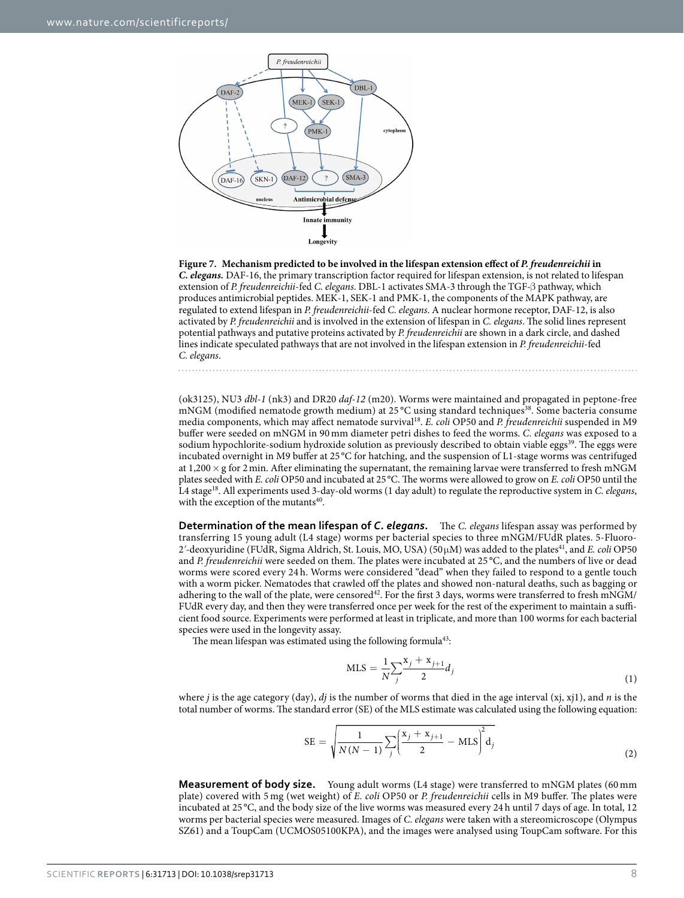

<span id="page-7-0"></span>**Figure 7. Mechanism predicted to be involved in the lifespan extension effect of** *P. freudenreichii* **in**  *C. elegans.* DAF-16, the primary transcription factor required for lifespan extension, is not related to lifespan extension of *P. freudenreichii*-fed *C. elegans*. DBL-1 activates SMA*-*3 through the TGF-β pathway, which produces antimicrobial peptides. MEK-1, SEK-1 and PMK-1, the components of the MAPK pathway, are regulated to extend lifespan in *P. freudenreichii*-fed *C. elegans*. A nuclear hormone receptor, DAF-12, is also activated by *P. freudenreichii* and is involved in the extension of lifespan in *C. elegans*. The solid lines represent potential pathways and putative proteins activated by *P. freudenreichii* are shown in a dark circle, and dashed lines indicate speculated pathways that are not involved in the lifespan extension in *P. freudenreichii*-fed *C. elegans*.

(ok3125), NU3 *dbl-1* (nk3) and DR20 *daf-12* (m20). Worms were maintained and propagated in peptone-free mNGM (modified nematode growth medium) at 25 °C using standard techniques<sup>38</sup>. Some bacteria consume media components, which may affect nematode surviva[l18](#page-9-10). *E. coli* OP50 and *P. freudenreichii* suspended in M9 buffer were seeded on mNGM in 90 mm diameter petri dishes to feed the worms. *C. elegans* was exposed to a sodium hypochlorite-sodium hydroxide solution as previously described to obtain viable eggs<sup>39</sup>. The eggs were incubated overnight in M9 buffer at 25 °C for hatching, and the suspension of L1-stage worms was centrifuged at 1,200  $\times$  g for 2 min. After eliminating the supernatant, the remaining larvae were transferred to fresh mNGM plates seeded with *E. coli* OP50 and incubated at 25°C. The worms were allowed to grow on *E. coli* OP50 until the L4 stage[18](#page-9-10). All experiments used 3-day-old worms (1 day adult) to regulate the reproductive system in *C. elegans*, with the exception of the mutants $40$ .

**Determination of the mean lifespan of** *C. elegans***.** The *C. elegans* lifespan assay was performed by transferring 15 young adult (L4 stage) worms per bacterial species to three mNGM/FUdR plates. 5-Fluoro-2ʹ-deoxyuridine (FUdR, Sigma Aldrich, St. Louis, MO, USA) (50μM) was added to the plate[s41](#page-9-33), and *E. coli* OP50 and *P. freudenreichii* were seeded on them. The plates were incubated at 25 °C, and the numbers of live or dead worms were scored every 24 h. Worms were considered "dead" when they failed to respond to a gentle touch with a worm picker. Nematodes that crawled off the plates and showed non-natural deaths, such as bagging or adhering to the wall of the plate, were censored<sup>42</sup>. For the first 3 days, worms were transferred to fresh mNGM/ FUdR every day, and then they were transferred once per week for the rest of the experiment to maintain a sufficient food source. Experiments were performed at least in triplicate, and more than 100 worms for each bacterial species were used in the longevity assay.

The mean lifespan was estimated using the following formula<sup>43</sup>:

$$
MLS = \frac{1}{N} \sum_{j} \frac{x_j + x_{j+1}}{2} d_j
$$
\n(1)

where *j* is the age category (day), *dj* is the number of worms that died in the age interval (xj, xj1), and *n* is the total number of worms. The standard error (SE) of the MLS estimate was calculated using the following equation:

SE = 
$$
\sqrt{\frac{1}{N(N-1)}\sum_{j} \left(\frac{x_j + x_{j+1}}{2} - \text{MLS}\right)^2 d_j}
$$
 (2)

**Measurement of body size.** Young adult worms (L4 stage) were transferred to mNGM plates (60 mm plate) covered with 5 mg (wet weight) of *E. coli* OP50 or *P. freudenreichii* cells in M9 buffer. The plates were incubated at 25 °C, and the body size of the live worms was measured every 24 h until 7 days of age. In total, 12 worms per bacterial species were measured. Images of *C*. *elegans* were taken with a stereomicroscope (Olympus SZ61) and a ToupCam (UCMOS05100KPA), and the images were analysed using ToupCam software. For this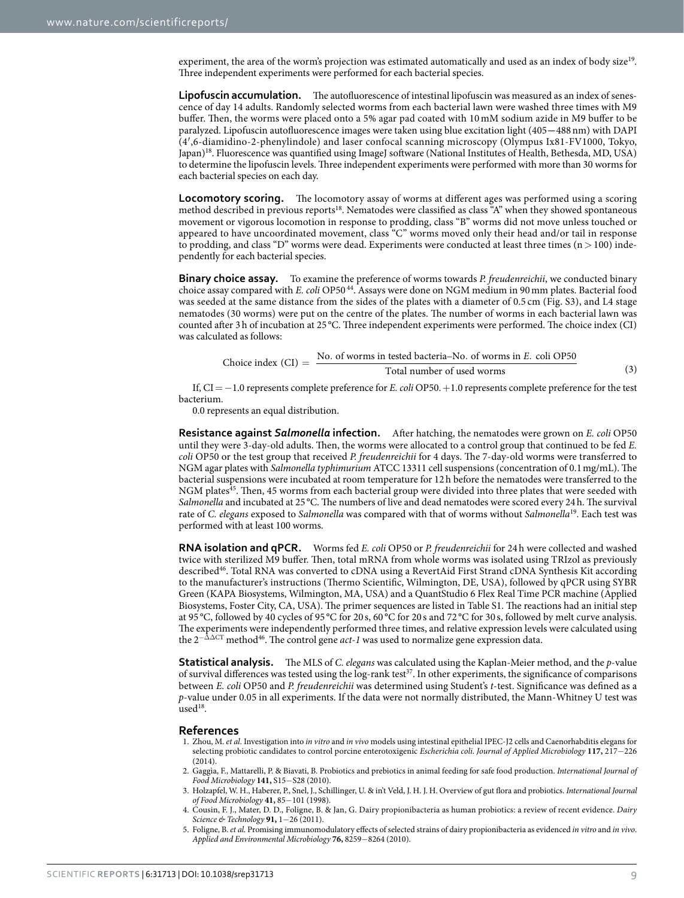experiment, the area of the worm's projection was estimated automatically and used as an index of body size<sup>19</sup>. Three independent experiments were performed for each bacterial species.

**Lipofuscin accumulation.** The autofluorescence of intestinal lipofuscin was measured as an index of senescence of day 14 adults. Randomly selected worms from each bacterial lawn were washed three times with M9 buffer. Then, the worms were placed onto a 5% agar pad coated with 10 mM sodium azide in M9 buffer to be paralyzed. Lipofuscin autofluorescence images were taken using blue excitation light (405**−**488nm) with DAPI (4′,6-diamidino-2-phenylindole) and laser confocal scanning microscopy (Olympus Ix81-FV1000, Tokyo, Japan)<sup>[18](#page-9-10)</sup>. Fluorescence was quantified using ImageJ software (National Institutes of Health, Bethesda, MD, USA) to determine the lipofuscin levels. Three independent experiments were performed with more than 30 worms for each bacterial species on each day.

**Locomotory scoring.** The locomotory assay of worms at different ages was performed using a scoring method described in previous reports[18.](#page-9-10) Nematodes were classified as class "A" when they showed spontaneous movement or vigorous locomotion in response to prodding, class "B" worms did not move unless touched or appeared to have uncoordinated movement, class "C" worms moved only their head and/or tail in response to prodding, and class "D" worms were dead. Experiments were conducted at least three times  $(n>100)$  independently for each bacterial species.

**Binary choice assay.** To examine the preference of worms towards *P. freudenreichii*, we conducted binary choice assay compared with *E. coli* OP50 [44.](#page-9-36) Assays were done on NGM medium in 90mm plates. Bacterial food was seeded at the same distance from the sides of the plates with a diameter of 0.5 cm (Fig. S3), and L4 stage nematodes (30 worms) were put on the centre of the plates. The number of worms in each bacterial lawn was counted after 3h of incubation at 25 °C. Three independent experiments were performed. The choice index (CI) was calculated as follows:

Choice index (CI) = 
$$
\frac{\text{No. of worms in tested bacteria} - \text{No. of worms in } E. \text{ coli OP50}}{\text{Total number of used worms}}
$$
 (3)

If, CI=−1.0 represents complete preference for *E. coli* OP50.+1.0 represents complete preference for the test bacterium.

0.0 represents an equal distribution.

**Resistance against** *Salmonella* **infection.** After hatching, the nematodes were grown on *E. coli* OP50 until they were 3-day-old adults. Then, the worms were allocated to a control group that continued to be fed *E. coli* OP50 or the test group that received *P. freudenreichii* for 4 days. The 7-day-old worms were transferred to NGM agar plates with *Salmonella typhimurium* ATCC 13311 cell suspensions (concentration of 0.1mg/mL). The bacterial suspensions were incubated at room temperature for 12h before the nematodes were transferred to the NGM plates[45.](#page-9-37) Then, 45 worms from each bacterial group were divided into three plates that were seeded with *Salmonella* and incubated at 25 °C. The numbers of live and dead nematodes were scored every 24h. The survival rate of *C. elegans* exposed to *Salmonella* was compared with that of worms without *Salmonella*[19](#page-9-11). Each test was performed with at least 100 worms.

**RNA isolation and qPCR.** Worms fed *E. coli* OP50 or *P. freudenreichii* for 24 h were collected and washed twice with sterilized M9 buffer. Then, total mRNA from whole worms was isolated using TRIzol as previously describe[d46.](#page-9-38) Total RNA was converted to cDNA using a RevertAid First Strand cDNA Synthesis Kit according to the manufacturer's instructions (Thermo Scientific, Wilmington, DE, USA), followed by qPCR using SYBR Green (KAPA Biosystems, Wilmington, MA, USA) and a QuantStudio 6 Flex Real Time PCR machine (Applied Biosystems, Foster City, CA, USA). The primer sequences are listed in Table S1. The reactions had an initial step at 95 °C, followed by 40 cycles of 95 °C for 20 s, 60 °C for 20 s and 72 °C for 30 s, followed by melt curve analysis. The experiments were independently performed three times, and relative expression levels were calculated using the 2−ΔΔCT method[46.](#page-9-38) The control gene *act-1* was used to normalize gene expression data.

**Statistical analysis.** The MLS of *C. elegans* was calculated using the Kaplan-Meier method, and the *p*-value of survival differences was tested using the log-rank test<sup>[37](#page-9-29)</sup>. In other experiments, the significance of comparisons between *E. coli* OP50 and *P. freudenreichii* was determined using Student's *t*-test. Significance was defined as a *p*-value under 0.05 in all experiments. If the data were not normally distributed, the Mann-Whitney U test was used<sup>18</sup>.

#### **References**

- <span id="page-8-0"></span>1. Zhou, M. *et al.* Investigation into *in vitro* and *in vivo* models using intestinal epithelial IPEC‐J2 cells and Caenorhabditis elegans for selecting probiotic candidates to control porcine enterotoxigenic *Escherichia coli*. *Journal of Applied Microbiology* **117,** 217−226 (2014).
- <span id="page-8-1"></span>2. Gaggìa, F., Mattarelli, P. & Biavati, B. Probiotics and prebiotics in animal feeding for safe food production. *International Journal of Food Microbiology* **141,** S15−S28 (2010).
- <span id="page-8-2"></span>3. Holzapfel, W. H., Haberer, P., Snel, J., Schillinger, U. & in't Veld, J. H. J. H. Overview of gut flora and probiotics. *International Journal of Food Microbiology* **41,** 85−101 (1998).
- <span id="page-8-3"></span>4. Cousin, F. J., Mater, D. D., Foligne, B. & Jan, G. Dairy propionibacteria as human probiotics: a review of recent evidence. *Dairy Science & Technology* **91,** 1−26 (2011).
- <span id="page-8-4"></span>5. Foligne, B. *et al.* Promising immunomodulatory effects of selected strains of dairy propionibacteria as evidenced *in vitro* and *in vivo*. *Applied and Environmental Microbiology* **76,** 8259−8264 (2010).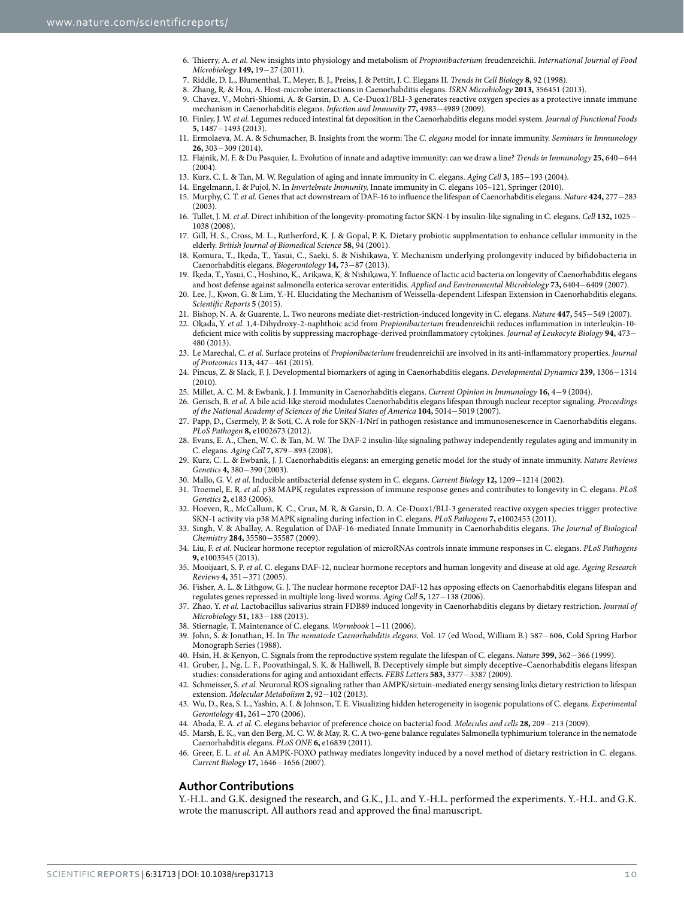- <span id="page-9-0"></span>6. Thierry, A. *et al.* New insights into physiology and metabolism of *Propionibacterium* freudenreichii. *International Journal of Food Microbiology* **149,** 19−27 (2011).
- <span id="page-9-2"></span><span id="page-9-1"></span>7. Riddle, D. L., Blumenthal, T., Meyer, B. J., Preiss, J. & Pettitt, J. C. Elegans II. *Trends in Cell Biology* **8,** 92 (1998).
- 8. Zhang, R. & Hou, A. Host-microbe interactions in Caenorhabditis elegans. *ISRN Microbiology* **2013,** 356451 (2013).
- 9. Chavez, V., Mohri-Shiomi, A. & Garsin, D. A. Ce-Duox1/BLI-3 generates reactive oxygen species as a protective innate immune mechanism in Caenorhabditis elegans. *Infection and Immunity* **77,** 4983−4989 (2009).
- 10. Finley, J. W. *et al.* Legumes reduced intestinal fat deposition in the Caenorhabditis elegans model system. *Journal of Functional Foods* **5,** 1487−1493 (2013).
- <span id="page-9-3"></span>11. Ermolaeva, M. A. & Schumacher, B. Insights from the worm: The *C. elegans* model for innate immunity. *Seminars in Immunology* **26,** 303−309 (2014).
- <span id="page-9-4"></span>12. Flajnik, M. F. & Du Pasquier, L. Evolution of innate and adaptive immunity: can we draw a line? *Trends in Immunology* **25,** 640−644  $(2004)$
- <span id="page-9-5"></span>13. Kurz, C. L. & Tan, M. W. Regulation of aging and innate immunity in C. elegans. *Aging Cell* **3,** 185−193 (2004).
- <span id="page-9-6"></span>14. Engelmann, I. & Pujol, N. In *Invertebrate Immunity,* Innate immunity in C. elegans 105–121, Springer (2010).
- <span id="page-9-7"></span>15. Murphy, C. T. *et al.* Genes that act downstream of DAF-16 to influence the lifespan of Caenorhabditis elegans. *Nature* **424,** 277−283  $(2003)$
- <span id="page-9-8"></span>16. Tullet, J. M. *et al.* Direct inhibition of the longevity-promoting factor SKN-1 by insulin-like signaling in C. elegans. *Cell* **132,** 1025− 1038 (2008).
- <span id="page-9-9"></span>17. Gill, H. S., Cross, M. L., Rutherford, K. J. & Gopal, P. K. Dietary probiotic supplmentation to enhance cellular immunity in the elderly. *British Journal of Biomedical Science* **58,** 94 (2001).
- <span id="page-9-10"></span>18. Komura, T., Ikeda, T., Yasui, C., Saeki, S. & Nishikawa, Y. Mechanism underlying prolongevity induced by bifidobacteria in Caenorhabditis elegans. *Biogerontology* **14,** 73−87 (2013).
- <span id="page-9-11"></span>19. Ikeda, T., Yasui, C., Hoshino, K., Arikawa, K. & Nishikawa, Y. Influence of lactic acid bacteria on longevity of Caenorhabditis elegans and host defense against salmonella enterica serovar enteritidis. *Applied and Environmental Microbiology* **73,** 6404−6409 (2007).
- <span id="page-9-12"></span>20. Lee, J., Kwon, G. & Lim, Y.-H. Elucidating the Mechanism of Weissella-dependent Lifespan Extension in Caenorhabditis elegans. *Scientific Reports* **5** (2015).
- <span id="page-9-13"></span>21. Bishop, N. A. & Guarente, L. Two neurons mediate diet-restriction-induced longevity in C. elegans. *Nature* **447,** 545−549 (2007).
- <span id="page-9-14"></span>22. Okada, Y. *et al.* 1,4-Dihydroxy-2-naphthoic acid from *Propionibacterium* freudenreichii reduces inflammation in interleukin-10 deficient mice with colitis by suppressing macrophage-derived proinflammatory cytokines. *Journal of Leukocyte Biology* **94,** 473− 480 (2013).
- <span id="page-9-15"></span>23. Le Marechal, C. *et al.* Surface proteins of *Propionibacterium* freudenreichii are involved in its anti-inflammatory properties. *Journal of Proteomics* **113,** 447−461 (2015).
- <span id="page-9-16"></span>24. Pincus, Z. & Slack, F. J. Developmental biomarkers of aging in Caenorhabditis elegans. *Developmental Dynamics* **239,** 1306−1314 (2010).
- <span id="page-9-17"></span>25. Millet, A. C. M. & Ewbank, J. J. Immunity in Caenorhabditis elegans. *Current Opinion in Immunology* **16,** 4−9 (2004).
- <span id="page-9-18"></span>26. Gerisch, B. *et al.* A bile acid-like steroid modulates Caenorhabditis elegans lifespan through nuclear receptor signaling. *Proceedings of the National Academy of Sciences of the United States of America* **104,** 5014−5019 (2007).
- <span id="page-9-19"></span>27. Papp, D., Csermely, P. & Soti, C. A role for SKN-1/Nrf in pathogen resistance and immunosenescence in Caenorhabditis elegans. *PLoS Pathogen* **8,** e1002673 (2012).
- <span id="page-9-20"></span>28. Evans, E. A., Chen, W. C. & Tan, M. W. The DAF‐2 insulin‐like signaling pathway independently regulates aging and immunity in C. elegans. *Aging Cell* **7,** 879−893 (2008).
- <span id="page-9-21"></span>29. Kurz, C. L. & Ewbank, J. J. Caenorhabditis elegans: an emerging genetic model for the study of innate immunity. *Nature Reviews Genetics* **4,** 380−390 (2003).
- <span id="page-9-23"></span><span id="page-9-22"></span>30. Mallo, G. V. *et al.* Inducible antibacterial defense system in C. elegans. *Current Biology* **12,** 1209−1214 (2002).
- 31. Troemel, E. R. *et al.* p38 MAPK regulates expression of immune response genes and contributes to longevity in C. elegans. *PLoS Genetics* **2,** e183 (2006).
- <span id="page-9-24"></span>32. Hoeven, R., McCallum, K. C., Cruz, M. R. & Garsin, D. A. Ce-Duox1/BLI-3 generated reactive oxygen species trigger protective SKN-1 activity via p38 MAPK signaling during infection in C. elegans. *PLoS Pathogens* **7,** e1002453 (2011).
- <span id="page-9-25"></span>33. Singh, V. & Aballay, A. Regulation of DAF-16-mediated Innate Immunity in Caenorhabditis elegans. *The Journal of Biological Chemistry* **284,** 35580−35587 (2009).
- <span id="page-9-26"></span>34. Liu, F. *et al.* Nuclear hormone receptor regulation of microRNAs controls innate immune responses in C. elegans. *PLoS Pathogens* **9,** e1003545 (2013).
- <span id="page-9-27"></span>35. Mooijaart, S. P. *et al.* C. elegans DAF-12, nuclear hormone receptors and human longevity and disease at old age. *Ageing Research Reviews* **4,** 351−371 (2005).
- <span id="page-9-28"></span>36. Fisher, A. L. & Lithgow, G. J. The nuclear hormone receptor DAF-12 has opposing effects on Caenorhabditis elegans lifespan and regulates genes repressed in multiple long-lived worms. *Aging Cell* **5,** 127−138 (2006).
- <span id="page-9-29"></span>37. Zhao, Y. *et al.* Lactobacillus salivarius strain FDB89 induced longevity in Caenorhabditis elegans by dietary restriction. *Journal of Microbiology* **51,** 183−188 (2013).
- <span id="page-9-30"></span>38. Stiernagle, T. Maintenance of C. elegans. *Wormbook* 1−11 (2006).
- <span id="page-9-31"></span>39. John, S. & Jonathan, H. In *The nematode Caenorhabditis elegans.* Vol. 17 (ed Wood, William B.) 587−606, Cold Spring Harbor Monograph Series (1988).
- <span id="page-9-32"></span>40. Hsin, H. & Kenyon, C. Signals from the reproductive system regulate the lifespan of C. elegans. *Nature* **399,** 362−366 (1999).
- <span id="page-9-33"></span>41. Gruber, J., Ng, L. F., Poovathingal, S. K. & Halliwell, B. Deceptively simple but simply deceptive–Caenorhabditis elegans lifespan studies: considerations for aging and antioxidant effects. *FEBS Letters* **583,** 3377−3387 (2009).
- <span id="page-9-34"></span>42. Schmeisser, S. *et al.* Neuronal ROS signaling rather than AMPK/sirtuin-mediated energy sensing links dietary restriction to lifespan extension. *Molecular Metabolism* **2,** 92−102 (2013).
- <span id="page-9-35"></span>43. Wu, D., Rea, S. L., Yashin, A. I. & Johnson, T. E. Visualizing hidden heterogeneity in isogenic populations of C. elegans. *Experimental Gerontology* **41,** 261−270 (2006).
- <span id="page-9-36"></span>44. Abada, E. A. *et al.* C. elegans behavior of preference choice on bacterial food. *Molecules and cells* **28,** 209−213 (2009).
- <span id="page-9-37"></span>45. Marsh, E. K., van den Berg, M. C. W. & May, R. C. A two-gene balance regulates Salmonella typhimurium tolerance in the nematode Caenorhabditis elegans. *PLoS ONE* **6,** e16839 (2011).
- <span id="page-9-38"></span>46. Greer, E. L. *et al.* An AMPK-FOXO pathway mediates longevity induced by a novel method of dietary restriction in C. elegans. *Current Biology* **17,** 1646−1656 (2007).

#### **Author Contributions**

Y.-H.L. and G.K. designed the research, and G.K., J.L. and Y.-H.L. performed the experiments. Y.-H.L. and G.K. wrote the manuscript. All authors read and approved the final manuscript.